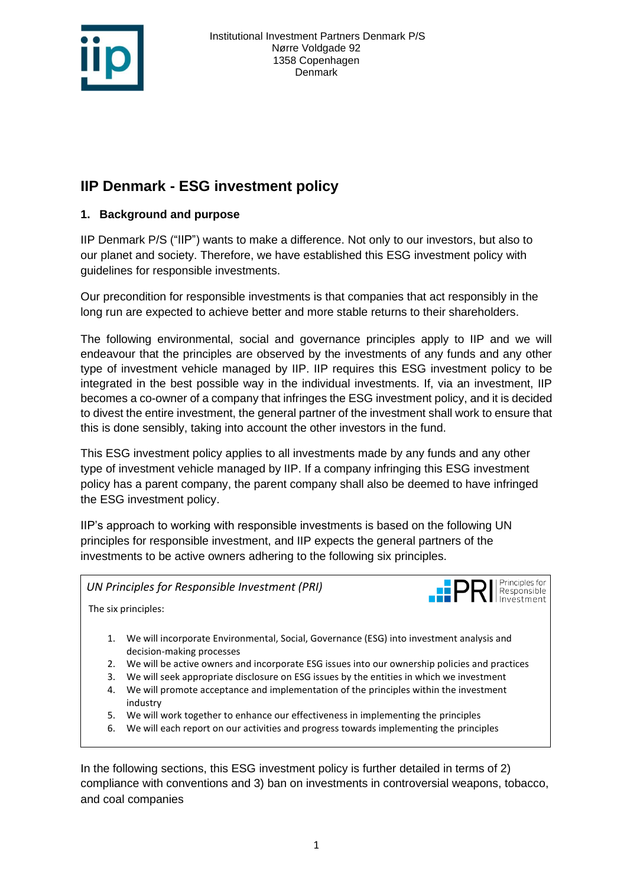

# **IIP Denmark - ESG investment policy**

# **1. Background and purpose**

IIP Denmark P/S ("IIP") wants to make a difference. Not only to our investors, but also to our planet and society. Therefore, we have established this ESG investment policy with guidelines for responsible investments.

Our precondition for responsible investments is that companies that act responsibly in the long run are expected to achieve better and more stable returns to their shareholders.

The following environmental, social and governance principles apply to IIP and we will endeavour that the principles are observed by the investments of any funds and any other type of investment vehicle managed by IIP. IIP requires this ESG investment policy to be integrated in the best possible way in the individual investments. If, via an investment, IIP becomes a co-owner of a company that infringes the ESG investment policy, and it is decided to divest the entire investment, the general partner of the investment shall work to ensure that this is done sensibly, taking into account the other investors in the fund.

This ESG investment policy applies to all investments made by any funds and any other type of investment vehicle managed by IIP. If a company infringing this ESG investment policy has a parent company, the parent company shall also be deemed to have infringed the ESG investment policy.

IIP's approach to working with responsible investments is based on the following UN principles for responsible investment, and IIP expects the general partners of the investments to be active owners adhering to the following six principles.

*UN Principles for Responsible Investment (PRI)*



The six principles:

- 1. We will incorporate Environmental, Social, Governance (ESG) into investment analysis and decision-making processes
- 2. We will be active owners and incorporate ESG issues into our ownership policies and practices
- 3. We will seek appropriate disclosure on ESG issues by the entities in which we investment
- 4. We will promote acceptance and implementation of the principles within the investment industry
- 5. We will work together to enhance our effectiveness in implementing the principles
- 6. We will each report on our activities and progress towards implementing the principles

In the following sections, this ESG investment policy is further detailed in terms of 2) compliance with conventions and 3) ban on investments in controversial weapons, tobacco, and coal companies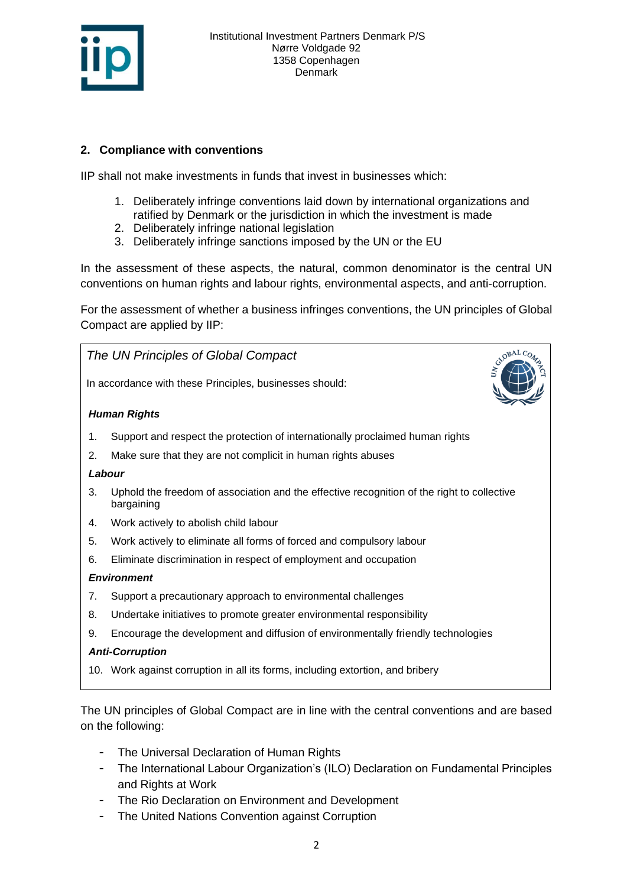

## **2. Compliance with conventions**

IIP shall not make investments in funds that invest in businesses which:

- 1. Deliberately infringe conventions laid down by international organizations and ratified by Denmark or the jurisdiction in which the investment is made
- 2. Deliberately infringe national legislation
- 3. Deliberately infringe sanctions imposed by the UN or the EU

In the assessment of these aspects, the natural, common denominator is the central UN conventions on human rights and labour rights, environmental aspects, and anti-corruption.

For the assessment of whether a business infringes conventions, the UN principles of Global Compact are applied by IIP:



The UN principles of Global Compact are in line with the central conventions and are based on the following:

- The Universal Declaration of Human Rights
- The International Labour Organization's (ILO) Declaration on Fundamental Principles and Rights at Work
- The Rio Declaration on Environment and Development
- The United Nations Convention against Corruption